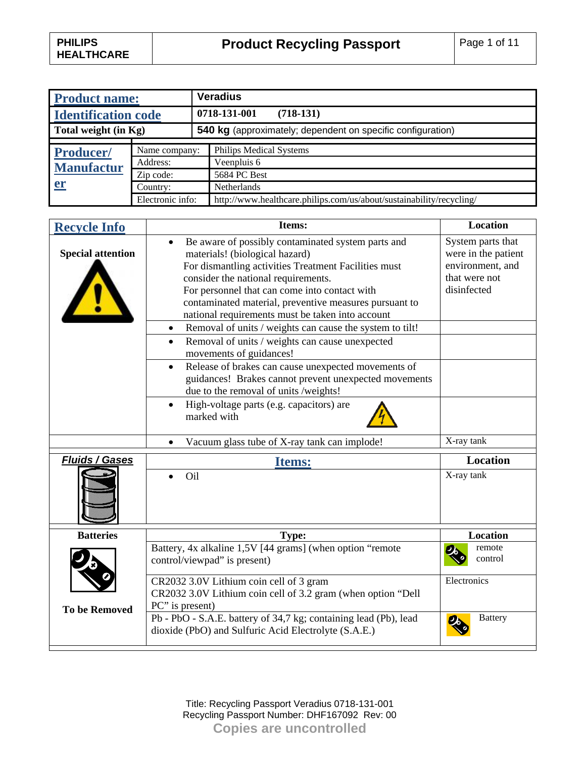| <b>Product name:</b>       |                  | <b>Veradius</b>                                                      |
|----------------------------|------------------|----------------------------------------------------------------------|
| <b>Identification code</b> |                  | 0718-131-001<br>$(718-131)$                                          |
| Total weight (in Kg)       |                  | <b>540 kg</b> (approximately; dependent on specific configuration)   |
|                            |                  |                                                                      |
| <b>Producer/</b>           | Name company:    | <b>Philips Medical Systems</b>                                       |
| <b>Manufactur</b><br>er    | Address:         | Veenpluis 6                                                          |
|                            | Zip code:        | 5684 PC Best                                                         |
|                            | Country:         | <b>Netherlands</b>                                                   |
|                            | Electronic info: | http://www.healthcare.philips.com/us/about/sustainability/recycling/ |

| <b>Recycle Info</b>      | Items:                                                                                                                                                                                                                                                                                                                                                                                                                                                                                                                                                                                                                                                                                                                                                                                                                    | Location                                                                                                   |
|--------------------------|---------------------------------------------------------------------------------------------------------------------------------------------------------------------------------------------------------------------------------------------------------------------------------------------------------------------------------------------------------------------------------------------------------------------------------------------------------------------------------------------------------------------------------------------------------------------------------------------------------------------------------------------------------------------------------------------------------------------------------------------------------------------------------------------------------------------------|------------------------------------------------------------------------------------------------------------|
| <b>Special attention</b> | Be aware of possibly contaminated system parts and<br>$\bullet$<br>materials! (biological hazard)<br>For dismantling activities Treatment Facilities must<br>consider the national requirements.<br>For personnel that can come into contact with<br>contaminated material, preventive measures pursuant to<br>national requirements must be taken into account<br>Removal of units / weights can cause the system to tilt!<br>٠<br>Removal of units / weights can cause unexpected<br>$\bullet$<br>movements of guidances!<br>Release of brakes can cause unexpected movements of<br>$\bullet$<br>guidances! Brakes cannot prevent unexpected movements<br>due to the removal of units /weights!<br>High-voltage parts (e.g. capacitors) are<br>$\bullet$<br>marked with<br>Vacuum glass tube of X-ray tank can implode! | System parts that<br>were in the patient<br>environment, and<br>that were not<br>disinfected<br>X-ray tank |
|                          |                                                                                                                                                                                                                                                                                                                                                                                                                                                                                                                                                                                                                                                                                                                                                                                                                           |                                                                                                            |
| <b>Fluids / Gases</b>    | <b>Items:</b><br>Oil                                                                                                                                                                                                                                                                                                                                                                                                                                                                                                                                                                                                                                                                                                                                                                                                      | <b>Location</b><br>$\overline{X}$ -ray tank                                                                |
| <b>Batteries</b>         | Type:                                                                                                                                                                                                                                                                                                                                                                                                                                                                                                                                                                                                                                                                                                                                                                                                                     | <b>Location</b>                                                                                            |
|                          | Battery, 4x alkaline 1,5V [44 grams] (when option "remote<br>control/viewpad" is present)                                                                                                                                                                                                                                                                                                                                                                                                                                                                                                                                                                                                                                                                                                                                 | remote<br>control                                                                                          |
| <b>To be Removed</b>     | CR2032 3.0V Lithium coin cell of 3 gram<br>CR2032 3.0V Lithium coin cell of 3.2 gram (when option "Dell<br>PC" is present)                                                                                                                                                                                                                                                                                                                                                                                                                                                                                                                                                                                                                                                                                                | Electronics                                                                                                |
|                          | Pb - PbO - S.A.E. battery of 34,7 kg; containing lead (Pb), lead<br>dioxide (PbO) and Sulfuric Acid Electrolyte (S.A.E.)                                                                                                                                                                                                                                                                                                                                                                                                                                                                                                                                                                                                                                                                                                  | <b>Battery</b><br>2                                                                                        |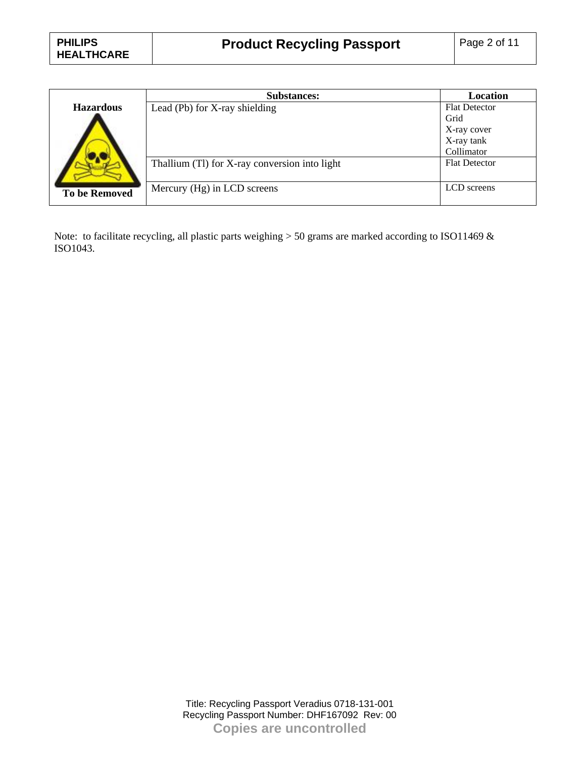|                      | <b>Substances:</b>                            | Location             |
|----------------------|-----------------------------------------------|----------------------|
| <b>Hazardous</b>     | Lead (Pb) for X-ray shielding                 | <b>Flat Detector</b> |
|                      |                                               | Grid                 |
|                      |                                               | X-ray cover          |
|                      |                                               | X-ray tank           |
|                      |                                               | Collimator           |
|                      | Thallium (Tl) for X-ray conversion into light | <b>Flat Detector</b> |
|                      |                                               |                      |
| <b>To be Removed</b> | Mercury (Hg) in LCD screens                   | LCD screens          |
|                      |                                               |                      |

Note: to facilitate recycling, all plastic parts weighing > 50 grams are marked according to ISO11469 & ISO1043.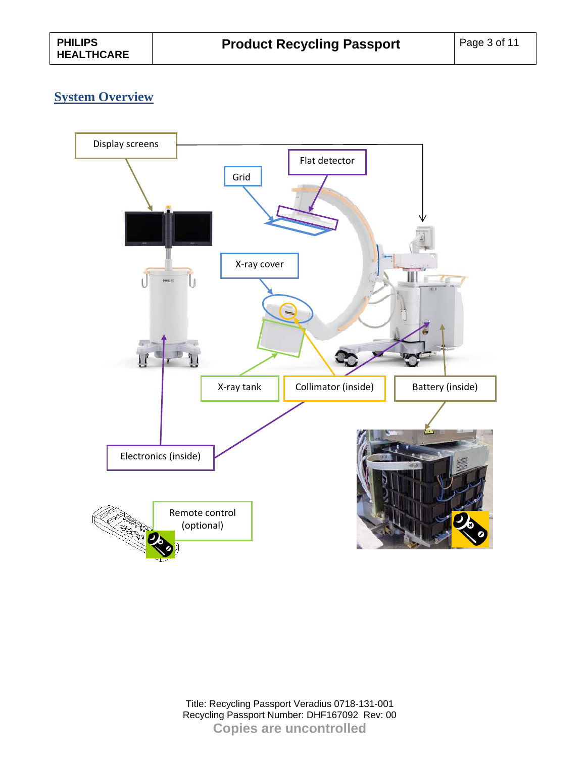### **System Overview**

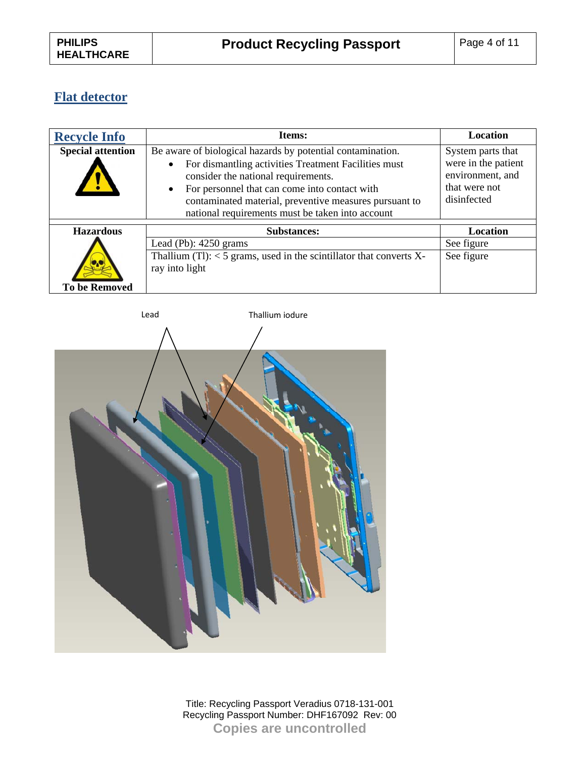# **Flat detector**

| <b>Recycle Info</b>      | Items:                                                                                                                                                                                                                                                                                                                                             | <b>Location</b>                                                                              |
|--------------------------|----------------------------------------------------------------------------------------------------------------------------------------------------------------------------------------------------------------------------------------------------------------------------------------------------------------------------------------------------|----------------------------------------------------------------------------------------------|
| <b>Special attention</b> | Be aware of biological hazards by potential contamination.<br>For dismantling activities Treatment Facilities must<br>$\bullet$<br>consider the national requirements.<br>For personnel that can come into contact with<br>$\bullet$<br>contaminated material, preventive measures pursuant to<br>national requirements must be taken into account | System parts that<br>were in the patient<br>environment, and<br>that were not<br>disinfected |
| <b>Hazardous</b>         | <b>Substances:</b>                                                                                                                                                                                                                                                                                                                                 | Location                                                                                     |
|                          | Lead (Pb): $4250$ grams                                                                                                                                                                                                                                                                                                                            | See figure                                                                                   |
| <b>To be Removed</b>     | Thallium $(Tl)$ : < 5 grams, used in the scintillator that converts X-<br>ray into light                                                                                                                                                                                                                                                           | See figure                                                                                   |

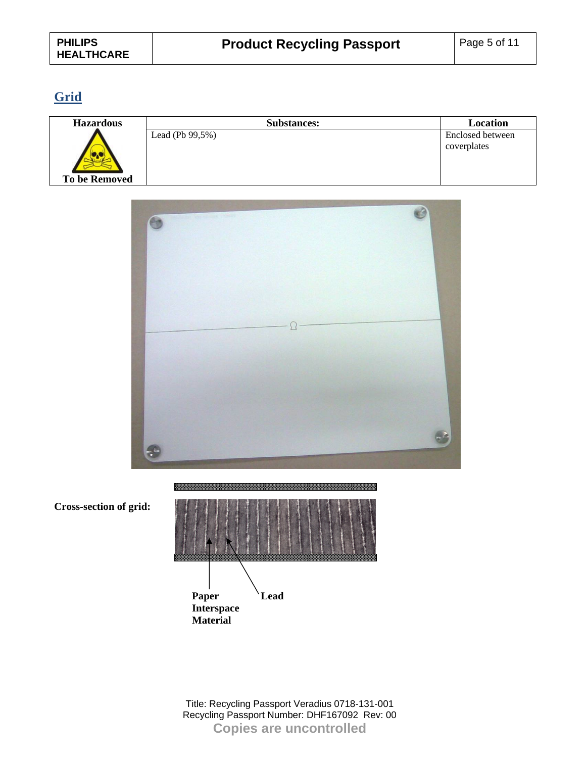# **Grid**

| <b>Hazardous</b>     | <b>Substances:</b>  | Location         |  |
|----------------------|---------------------|------------------|--|
|                      | Lead (Pb $99,5\%$ ) | Enclosed between |  |
|                      |                     | coverplates      |  |
| <b>To be Removed</b> |                     |                  |  |



**Cross-section of grid:** 

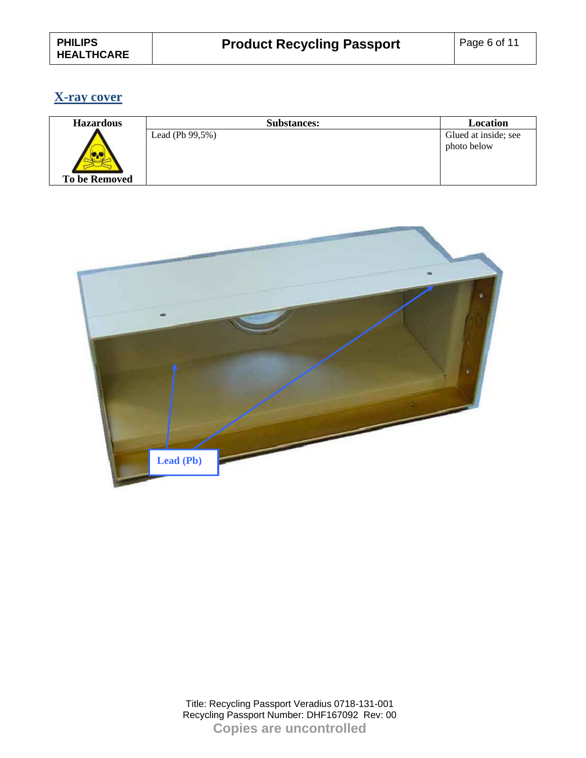### **X-ray cover**

| <b>Hazardous</b> | <b>Substances:</b>  | Location             |
|------------------|---------------------|----------------------|
|                  | Lead (Pb $99,5\%$ ) | Glued at inside; see |
|                  |                     | photo below          |
| To be Removed    |                     |                      |

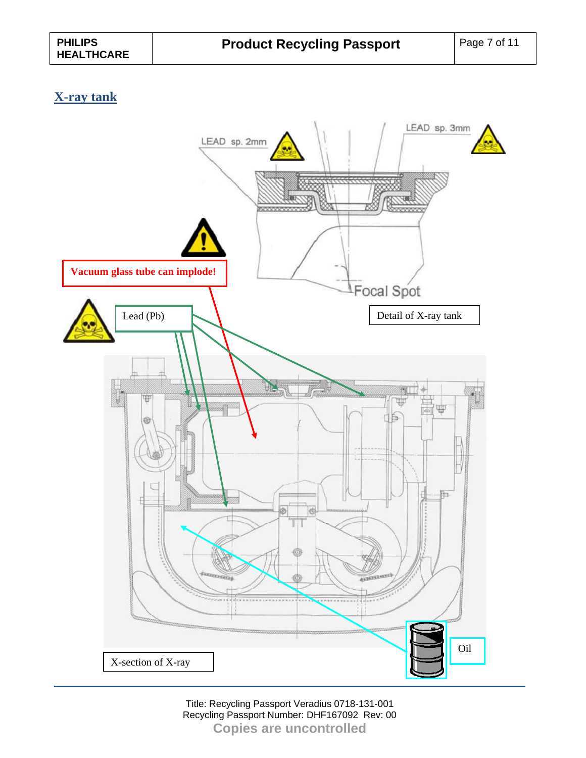### **X-ray tank**

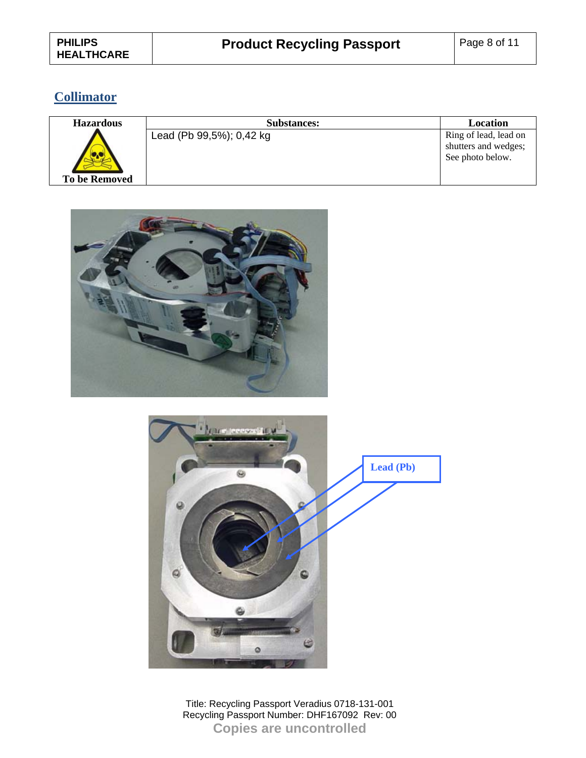# **Collimator**

| <b>Hazardous</b>     | <b>Substances:</b>       | <b>Location</b>                                                   |
|----------------------|--------------------------|-------------------------------------------------------------------|
| <b>To be Removed</b> | Lead (Pb 99,5%); 0,42 kg | Ring of lead, lead on<br>shutters and wedges;<br>See photo below. |



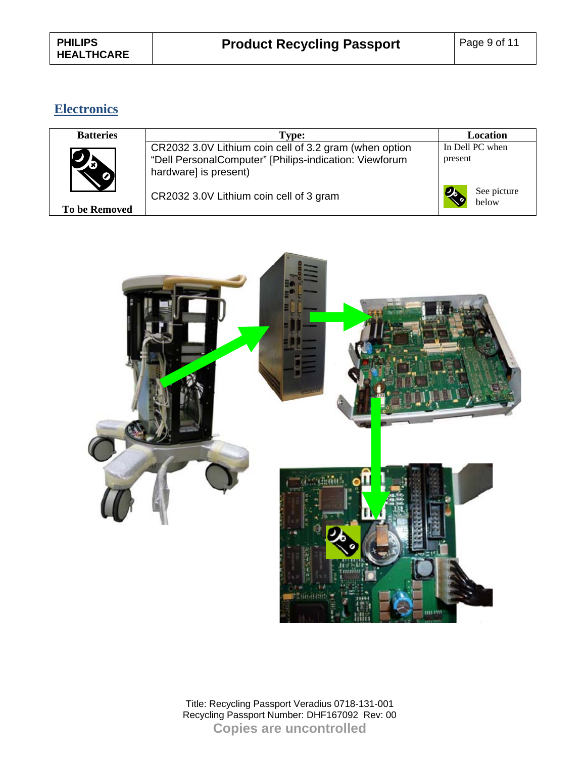## **Electronics**

| <b>Batteries</b>     | Type:                                                  | Location                          |
|----------------------|--------------------------------------------------------|-----------------------------------|
|                      | CR2032 3.0V Lithium coin cell of 3.2 gram (when option | In Dell PC when                   |
|                      | "Dell PersonalComputer" [Philips-indication: Viewforum | present                           |
|                      | hardware] is present)                                  |                                   |
| <b>To be Removed</b> | CR2032 3.0V Lithium coin cell of 3 gram                | See picture<br><b>и.</b><br>below |

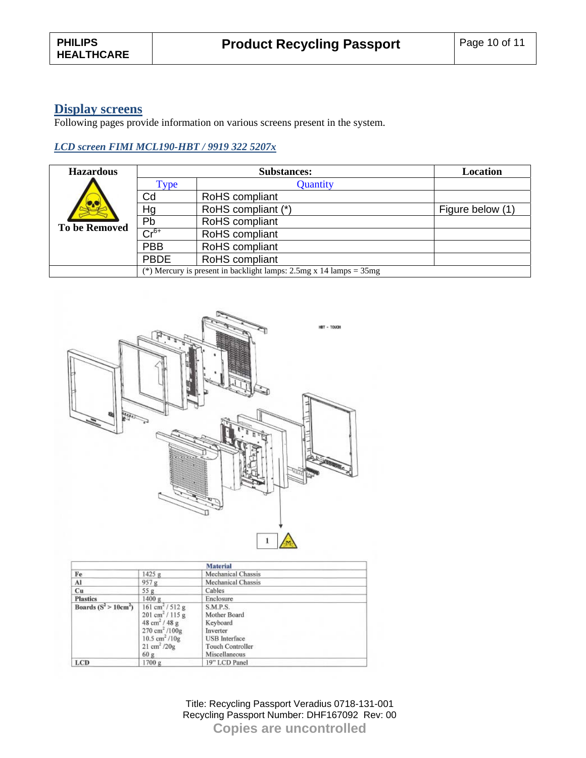#### **Display screens**

Following pages provide information on various screens present in the system.

#### *LCD screen FIMI MCL190-HBT / 9919 322 5207x*

| <b>Hazardous</b>     |                                                                             | <b>Substances:</b> | Location         |  |
|----------------------|-----------------------------------------------------------------------------|--------------------|------------------|--|
|                      | Type                                                                        | Quantity           |                  |  |
|                      | Cd                                                                          | RoHS compliant     |                  |  |
|                      | Hg                                                                          | RoHS compliant (*) | Figure below (1) |  |
| <b>To be Removed</b> | Pb                                                                          | RoHS compliant     |                  |  |
|                      | $Cr^{6+}$                                                                   | RoHS compliant     |                  |  |
|                      | <b>PBB</b>                                                                  | RoHS compliant     |                  |  |
|                      | <b>PBDE</b>                                                                 | RoHS compliant     |                  |  |
|                      | (*) Mercury is present in backlight lamps: $2.5mg \times 14$ lamps = $35mg$ |                    |                  |  |



|                         |                                                                                                                                                                                                                                 | <b>Material</b>                                                                                                             |
|-------------------------|---------------------------------------------------------------------------------------------------------------------------------------------------------------------------------------------------------------------------------|-----------------------------------------------------------------------------------------------------------------------------|
| Fe                      | 1425 g                                                                                                                                                                                                                          | <b>Mechanical Chassis</b>                                                                                                   |
| Al                      | 957 g                                                                                                                                                                                                                           | <b>Mechanical Chassis</b>                                                                                                   |
| Cu                      | 55g                                                                                                                                                                                                                             | Cables                                                                                                                      |
| <b>Plastics</b>         | 1400 g                                                                                                                                                                                                                          | Enclosure                                                                                                                   |
| Boards $(S^2 > 10cm^2)$ | $161 \text{ cm}^2 / 512 \text{ g}$<br>$201 \text{ cm}^2 / 115 \text{ g}$<br>$48 \text{ cm}^2 / 48 \text{ g}$<br>$270 \text{ cm}^2 / 100 \text{g}$<br>$10.5$ cm <sup>2</sup> / $10g$<br>$21 \text{ cm}^2 / 20 \text{ g}$<br>60 g | <b>S.M.P.S.</b><br>Mother Board<br>Keyboard<br>Inverter<br><b>USB</b> Interface<br><b>Touch Controller</b><br>Miscellaneous |
| <b>LCD</b>              | 1700 g                                                                                                                                                                                                                          | 19" LCD Panel                                                                                                               |